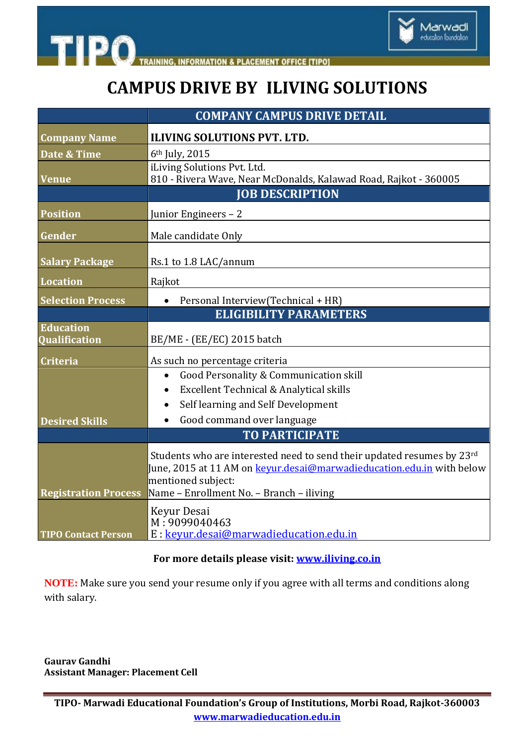



Marwadi<br>education foundation

|                                          | <b>COMPANY CAMPUS DRIVE DETAIL</b>                                                                                                                                                                                       |
|------------------------------------------|--------------------------------------------------------------------------------------------------------------------------------------------------------------------------------------------------------------------------|
| <b>Company Name</b>                      | <b>ILIVING SOLUTIONS PVT. LTD.</b>                                                                                                                                                                                       |
| Date & Time                              | 6 <sup>th</sup> July, 2015                                                                                                                                                                                               |
| <b>Venue</b>                             | iLiving Solutions Pvt. Ltd.<br>810 - Rivera Wave, Near McDonalds, Kalawad Road, Rajkot - 360005                                                                                                                          |
|                                          | <b>JOB DESCRIPTION</b>                                                                                                                                                                                                   |
| <b>Position</b>                          | Junior Engineers - 2                                                                                                                                                                                                     |
| Gender                                   | Male candidate Only                                                                                                                                                                                                      |
| <b>Salary Package</b>                    | Rs.1 to 1.8 LAC/annum                                                                                                                                                                                                    |
| Location                                 | Rajkot                                                                                                                                                                                                                   |
| <b>Selection Process</b>                 | Personal Interview(Technical + HR)<br>$\bullet$                                                                                                                                                                          |
|                                          | <b>ELIGIBILITY PARAMETERS</b>                                                                                                                                                                                            |
| <b>Education</b><br><b>Qualification</b> | BE/ME - (EE/EC) 2015 batch                                                                                                                                                                                               |
| <b>Criteria</b>                          | As such no percentage criteria                                                                                                                                                                                           |
|                                          | Good Personality & Communication skill<br>$\bullet$                                                                                                                                                                      |
|                                          | Excellent Technical & Analytical skills                                                                                                                                                                                  |
|                                          | Self learning and Self Development                                                                                                                                                                                       |
| <b>Desired Skills</b>                    | Good command over language                                                                                                                                                                                               |
|                                          | <b>TO PARTICIPATE</b>                                                                                                                                                                                                    |
| <b>Registration Process</b>              | Students who are interested need to send their updated resumes by 23rd<br>June, 2015 at 11 AM on <b>keyur.desai@marwadieducation.edu.in</b> with below<br>mentioned subject:<br>Name - Enrollment No. - Branch - iliving |
| <b>TIPO Contact Person</b>               | Keyur Desai<br>M: 9099040463<br>E : keyur.desai@marwadieducation.edu.in                                                                                                                                                  |

## **For more details please visit: [www.iliving.co.in](file:///C:\Users\Marwadi\Desktop\CAMPUS%20NOTICES\www.iliving.co.in)**

**NOTE:** Make sure you send your resume only if you agree with all terms and conditions along with salary.

**Gaurav Gandhi Assistant Manager: Placement Cell**